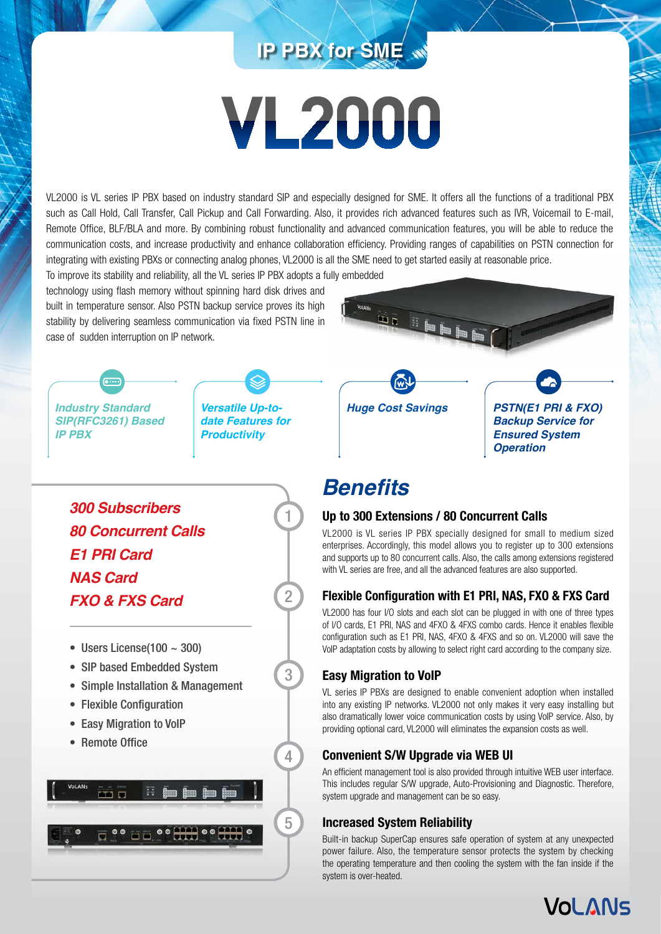# **IP PBX for SME**

# **VL2000**

VL2000 is VL series IP PBX based on industry standard SIP and especially designed for SME. It offers all the functions of a traditional PBX such as Call Hold, Call Transfer, Call Pickup and Call Forwarding. Also, it provides rich advanced features such as IVR, Voicemail to E-mail, Remote Office, BLF/BLA and more. By combining robust functionality and advanced communication features, you will be able to reduce the communication costs, and increase productivity and enhance collaboration efficiency. Providing ranges of capabilities on PSTN connection for integrating with existing PBXs or connecting analog phones, VL2000 is all the SME need to get started easily at reasonable price.

To improve its stability and reliability, all the VL series IP PBX adopts a fully embedded technology using flash memory without spinning hard disk drives and built in temperature sensor. Also PSTN backup service proves its high stability by delivering seamless communication via fixed PSTN line in case of sudden interruption on IP network.

ma li bab



**.....** 

*Versatile Up-todate Features for Productivity*

1

2

3

4

5



*Backup Service for Ensured System Operation*

# **Benefits**

## **Up to 300 Extensions / 80 Concurrent Calls**

VL2000 is VL series IP PBX specially designed for small to medium sized enterprises. Accordingly, this model allows you to register up to 300 extensions and supports up to 80 concurrent calls. Also, the calls among extensions registered with VL series are free, and all the advanced features are also supported.

# **Flexible Configuration with E1 PRI, NAS, FXO & FXS Card**

VL2000 has four I/O slots and each slot can be plugged in with one of three types of I/O cards, E1 PRI, NAS and 4FXO & 4FXS combo cards. Hence it enables flexible configuration such as E1 PRI, NAS, 4FXO & 4FXS and so on. VL2000 will save the VoIP adaptation costs by allowing to select right card according to the company size.

# **Easy Migration to VoIP**

VL series IP PBXs are designed to enable convenient adoption when installed into any existing IP networks. VL2000 not only makes it very easy installing but also dramatically lower voice communication costs by using VoIP service. Also, by providing optional card, VL2000 will eliminates the expansion costs as well.

## **Convenient S/W Upgrade via WEB UI**

An efficient management tool is also provided through intuitive WEB user interface. This includes regular S/W upgrade, Auto-Provisioning and Diagnostic. Therefore, system upgrade and management can be so easy.

# **Increased System Reliability**

Built-in backup SuperCap ensures safe operation of system at any unexpected power failure. Also, the temperature sensor protects the system by checking the operating temperature and then cooling the system with the fan inside if the system is over-heated.





- Users License $(100 \sim 300)$
- SIP based Embedded System
- Simple Installation & Management
- Flexible Configuration
- Easy Migration to VoIP
- Remote Office